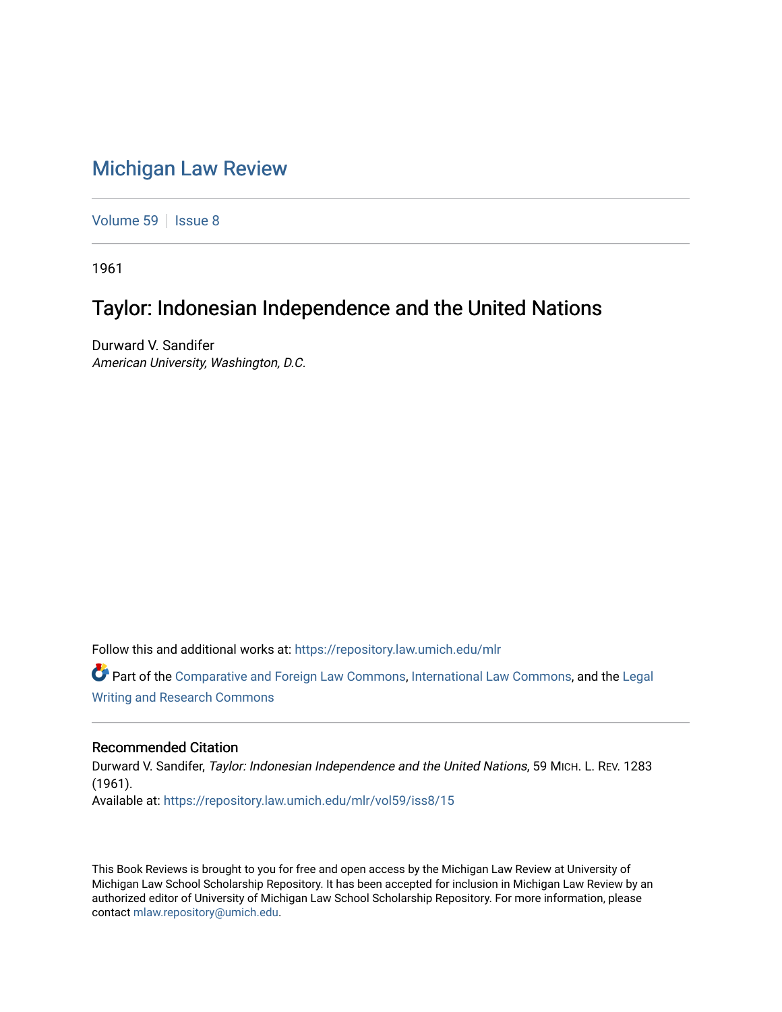## [Michigan Law Review](https://repository.law.umich.edu/mlr)

[Volume 59](https://repository.law.umich.edu/mlr/vol59) | [Issue 8](https://repository.law.umich.edu/mlr/vol59/iss8)

1961

## Taylor: Indonesian Independence and the United Nations

Durward V. Sandifer American University, Washington, D.C.

Follow this and additional works at: [https://repository.law.umich.edu/mlr](https://repository.law.umich.edu/mlr?utm_source=repository.law.umich.edu%2Fmlr%2Fvol59%2Fiss8%2F15&utm_medium=PDF&utm_campaign=PDFCoverPages) 

Part of the [Comparative and Foreign Law Commons,](http://network.bepress.com/hgg/discipline/836?utm_source=repository.law.umich.edu%2Fmlr%2Fvol59%2Fiss8%2F15&utm_medium=PDF&utm_campaign=PDFCoverPages) [International Law Commons,](http://network.bepress.com/hgg/discipline/609?utm_source=repository.law.umich.edu%2Fmlr%2Fvol59%2Fiss8%2F15&utm_medium=PDF&utm_campaign=PDFCoverPages) and the [Legal](http://network.bepress.com/hgg/discipline/614?utm_source=repository.law.umich.edu%2Fmlr%2Fvol59%2Fiss8%2F15&utm_medium=PDF&utm_campaign=PDFCoverPages)  [Writing and Research Commons](http://network.bepress.com/hgg/discipline/614?utm_source=repository.law.umich.edu%2Fmlr%2Fvol59%2Fiss8%2F15&utm_medium=PDF&utm_campaign=PDFCoverPages) 

## Recommended Citation

Durward V. Sandifer, Taylor: Indonesian Independence and the United Nations, 59 MICH. L. REV. 1283 (1961). Available at: [https://repository.law.umich.edu/mlr/vol59/iss8/15](https://repository.law.umich.edu/mlr/vol59/iss8/15?utm_source=repository.law.umich.edu%2Fmlr%2Fvol59%2Fiss8%2F15&utm_medium=PDF&utm_campaign=PDFCoverPages) 

This Book Reviews is brought to you for free and open access by the Michigan Law Review at University of Michigan Law School Scholarship Repository. It has been accepted for inclusion in Michigan Law Review by an authorized editor of University of Michigan Law School Scholarship Repository. For more information, please contact [mlaw.repository@umich.edu](mailto:mlaw.repository@umich.edu).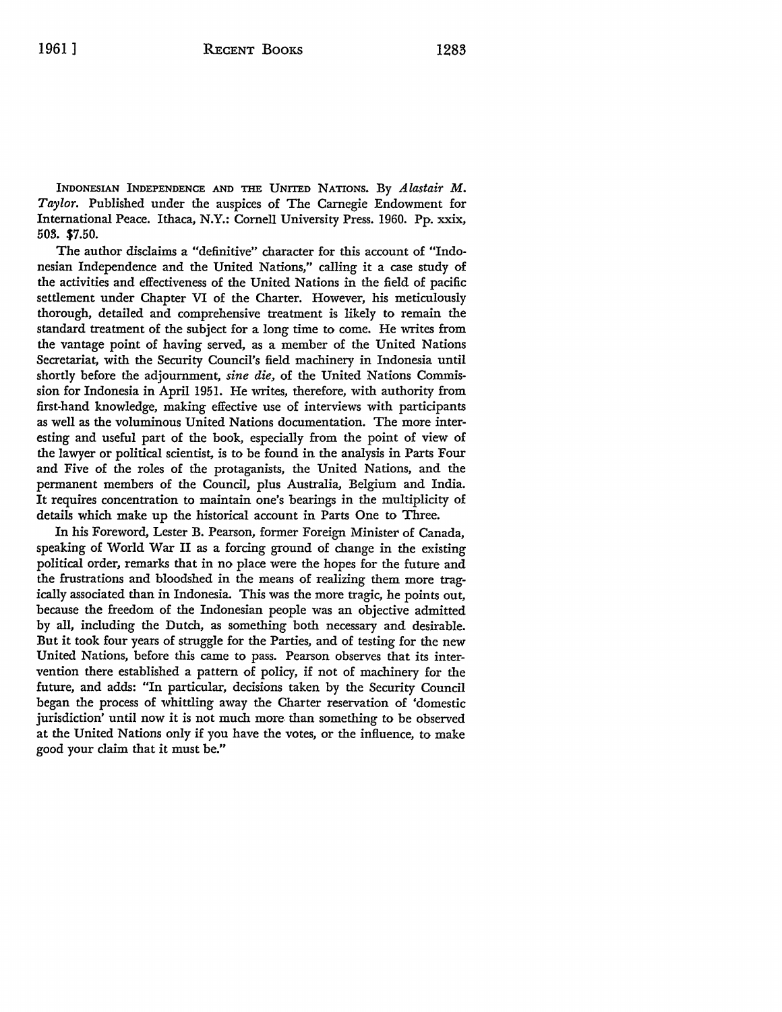INDONESIAN INDEPENDENCE AND THE UNITED NATIONS. By *Alastair M. Taylor.* Published under the auspices of The Carnegie Endowment for International Peace. Ithaca, N.Y.: Cornell University Press. 1960. Pp. xxix, 503. \$7.50.

The author disclaims a "definitive" character for this account of "Indonesian Independence and the United Nations," calling it a case study of the activities and effectiveness of the United Nations in the field of pacific settlement under Chapter VI of the Charter. However, his meticulously thorough, detailed and comprehensive treatment is likely to remain the standard treatment of the subject for a long time to come. He writes from the vantage point of having served, as a member of the United Nations Secretariat, with the Security Council's field machinery in Indonesia until shortly before the adjournment, *sine die,* of the United Nations Commission for Indonesia in April 1951. He writes, therefore, with authority from first-hand knowledge, making effective use of interviews with participants as well as the voluminous United Nations documentation. The more interesting and useful part of the book, especially from the point of view of the lawyer or political scientist, is to be found in the analysis in Parts Four and Five of the roles of the protaganists, the United Nations, and the permanent members of the Council, plus Australia, Belgium and India. It requires concentration to maintain one's bearings in the multiplicity of details which make up the historical account in Parts One to Three.

In his Foreword, Lester B. Pearson, former Foreign Minister of Canada, speaking of World War II as a forcing ground of change in the existing political order, remarks that in no place were the hopes for the future and the frustrations and bloodshed in the means of realizing them more tragically associated than in Indonesia. This was the more tragic, he points out, because the freedom of the Indonesian people was an objective admitted by all, including the Dutch, as something both necessary and desirable. But it took four years of struggle for the Parties, and of testing for the new United Nations, before this came to pass. Pearson observes that its intervention there established a pattern of policy, if not of machinery for the future, and adds: "In particular, decisions taken by the Security Council began the process of whittling away the Charter reservation of 'domestic jurisdiction' until now it is not much more than something to be observed at the United Nations only if you have the votes, or the influence, to make good your claim that it must be."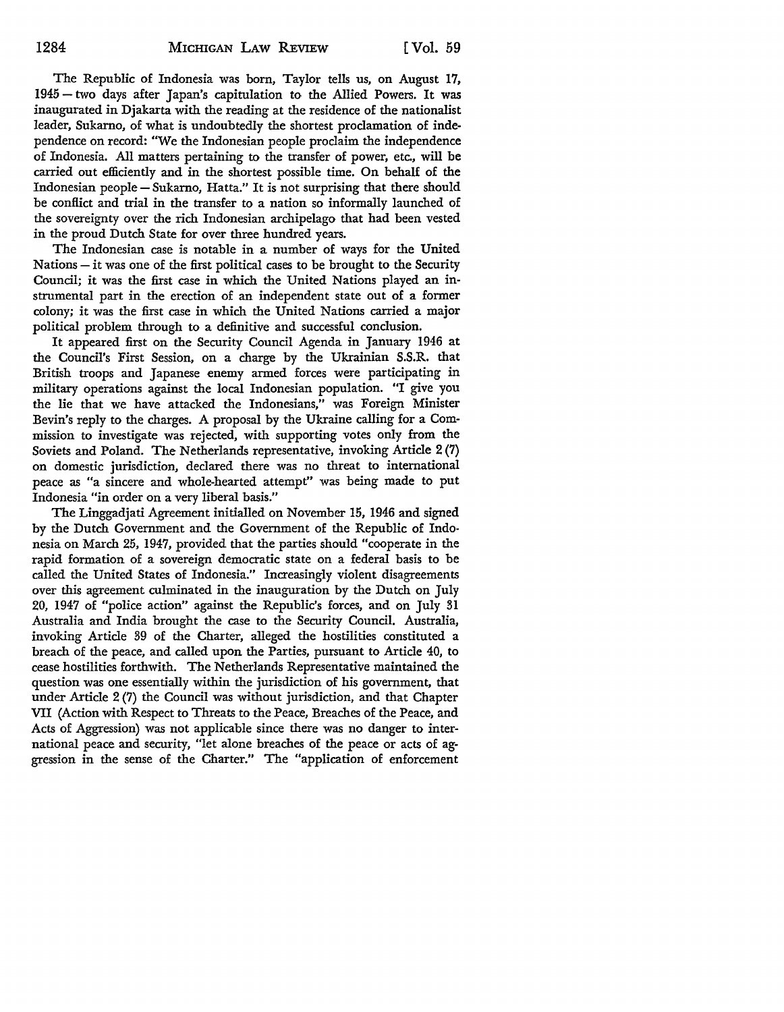The Republic of Indonesia was born, Taylor tells us, on August 17, 1945 - two days after Japan's capitulation to the Allied Powers. It was inaugurated in Djakarta with the reading at the residence of the nationalist leader, Sukarno, of what is undoubtedly the shortest proclamation of independence on record: "We the Indonesian people proclaim the independence of Indonesia. All matters pertaining to the transfer of power, etc., will be carried out efficiently and in the shortest possible time. On behalf of the Indonesian people - Sukarno, Hatta." It is not surprising that there should be conflict and trial in the transfer to a nation so informally launched of the sovereignty over the rich Indonesian archipelago that had been vested in the proud Dutch State for over three hundred years.

The Indonesian case is notable in a number of ways for the United Nations - it was one of the first political cases to be brought to the Security Council; it was the first case in which the United Nations played an instrumental part in the erection of an independent state out of a former colony; it was the first case in which the United Nations carried a major political problem through to a definitive and successful conclusion.

It appeared first on the Security Council Agenda in January 1946 at the Council's First Session, on a charge by the Ukrainian S.S.R. that British troops and Japanese enemy armed forces were participating in military operations against the local Indonesian population. "I give you the lie that we have attacked the Indonesians," was Foreign Minister Bevin's reply to the charges. A proposal by the Ukraine calling for a Commission to investigate was rejected, with supporting votes only from the Soviets and Poland. The Netherlands representative, invoking Article 2 (7) on domestic jurisdiction, declared there was no threat to international peace as "a sincere and whole-hearted attempt" was being made to put Indonesia "in order on a very liberal basis."

The Linggadjati Agreement initialled on November 15, 1946 and signed by the Dutch Government and the Government of the Republic of Indonesia on March 25, 1947, provided that the parties should "cooperate in the rapid formation of a sovereign democratic state on a federal basis to be called the United States of Indonesia." Increasingly violent disagreements over this agreement culminated in the inauguration by the Dutch on July 20, 1947 of "police action" against the Republic's forces, and on July 31 Australia and India brought the case to the Security Council. Australia, invoking Article 39 of the Charter, alleged the hostilities constituted a breach of the peace, and called upon the Parties, pursuant to Article 40, to cease hostilities forthwith. The Netherlands Representative maintained the question was one essentially within the jurisdiction of his government, that under Article 2 (7) the Council was without jurisdiction, and that Chapter VII (Action with Respect to Threats to the Peace, Breaches of the Peace, and Acts of Aggression) was not applicable since there was no danger to international peace and security, "let alone breaches of the peace or acts of aggression in the sense of the Charter.'' The "application of enforcement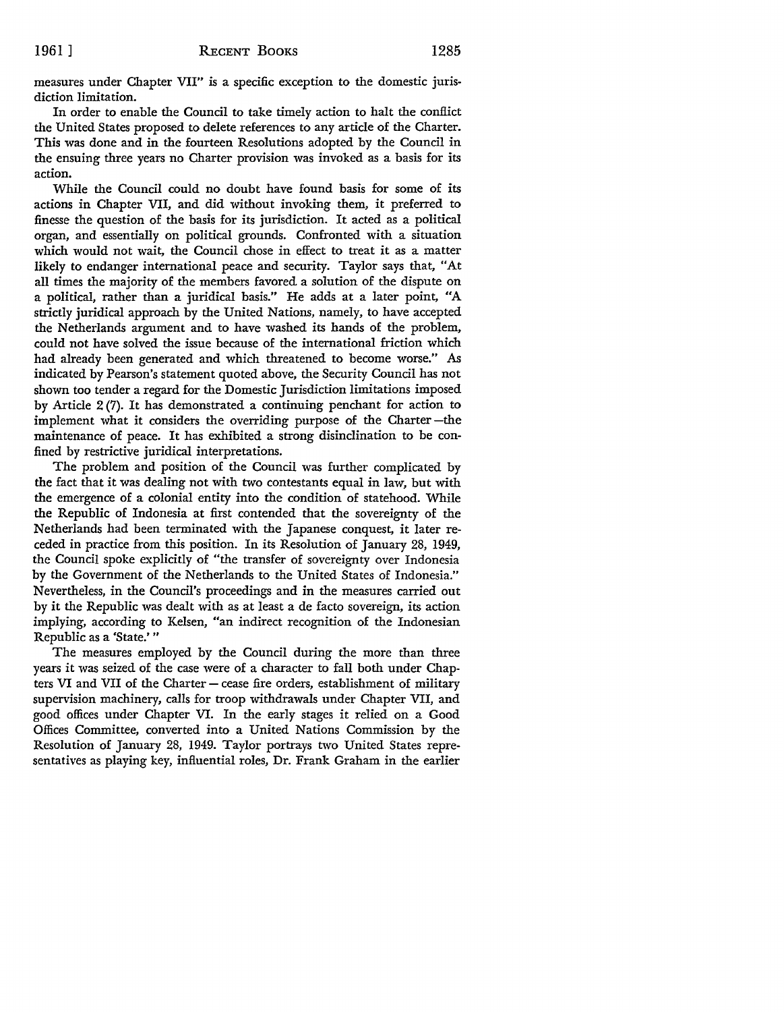measures under Chapter VII" is a specific exception to the domestic jurisdiction limitation.

In order to enable the Council to take timely action to halt the conflict the United States proposed to delete references to any article of the Charter. This was done and in the fourteen Resolutions adopted by the Council in the ensuing three years no Charter provision was invoked as a basis for its action.

While the Council could no doubt have found basis for some of its actions in Chapter VII, and did without invoking them, it preferred to finesse the question of the basis for its jurisdiction. It acted as a political organ, and essentially on political grounds. Confronted with a situation which would not wait, the Council chose in effect to treat it as a matter likely to endanger international peace and security. Taylor says that, "At all times the majority of the members favored a solution of the dispute on a political, rather than a juridical basis." He adds at a later point, "A strictly juridical approach by the United Nations, namely, to have accepted the Netherlands argument and to have washed its hands of the problem, could not have solved the issue because of the international friction which had already been generated and which threatened to become worse." As indicated by Pearson's statement quoted above, the Security Council has not shown too tender a regard for the Domestic Jurisdiction limitations imposed by Article 2 (7). It has demonstrated a continuing penchant for action to implement what it considers the overriding purpose of the Charter-the maintenance of peace. It has exhibited a strong disinclination to be confined by restrictive juridical interpretations.

The problem and position of the Council was further complicated by the fact that it was dealing not with two contestants equal in law, but with the emergence of a colonial entity into the condition of statehood. While the Republic of Indonesia at first contended that the sovereignty of the Netherlands had been terminated with the Japanese conquest, it later receded in practice from this position. In its Resolution of January 28, 1949, the Council spoke explicitly of "the transfer of sovereignty over Indonesia by the Government of the Netherlands to the United States of Indonesia." Nevertheless, in the Council's proceedings and in the measures carried out by it the Republic was dealt with as at least a de facto sovereign, its action implying, according to Kelsen, "an indirect recognition of the Indonesian Republic as a 'State.' "

The measures employed by the Council during the more than three years it was seized of the case were of a character to fall both under Chapters VI and VII of the Charter – cease fire orders, establishment of military supervision machinery, calls for troop withdrawals under Chapter VII, and good offices under Chapter VI. In the early stages it relied on a Good Offices Committee, converted into a United Nations Commission by the Resolution of January 28, 1949. Taylor portrays two United States representatives as playing key, influential roles, Dr. Frank Graham in the earlier